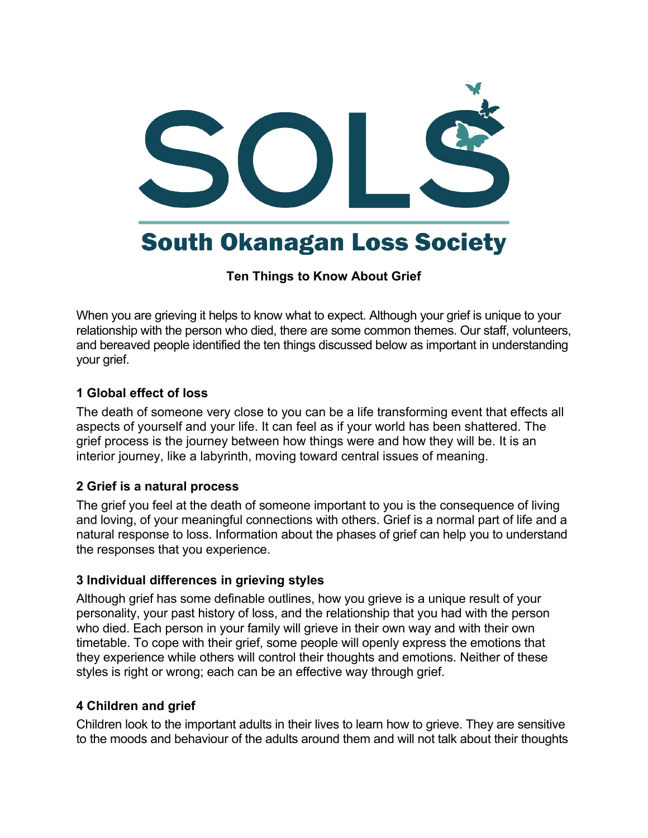

**Ten Things to Know About Grief**

When you are grieving it helps to know what to expect. Although your grief is unique to your relationship with the person who died, there are some common themes. Our staff, volunteers, and bereaved people identified the ten things discussed below as important in understanding your grief.

#### **1 Global effect of loss**

The death of someone very close to you can be a life transforming event that effects all aspects of yourself and your life. It can feel as if your world has been shattered. The grief process is the journey between how things were and how they will be. It is an interior journey, like a labyrinth, moving toward central issues of meaning.

## **2 Grief is a natural process**

The grief you feel at the death of someone important to you is the consequence of living and loving, of your meaningful connections with others. Grief is a normal part of life and a natural response to loss. Information about the phases of grief can help you to understand the responses that you experience.

## **3 Individual differences in grieving styles**

Although grief has some definable outlines, how you grieve is a unique result of your personality, your past history of loss, and the relationship that you had with the person who died. Each person in your family will grieve in their own way and with their own timetable. To cope with their grief, some people will openly express the emotions that they experience while others will control their thoughts and emotions. Neither of these styles is right or wrong; each can be an effective way through grief.

#### **4 Children and grief**

Children look to the important adults in their lives to learn how to grieve. They are sensitive to the moods and behaviour of the adults around them and will not talk about their thoughts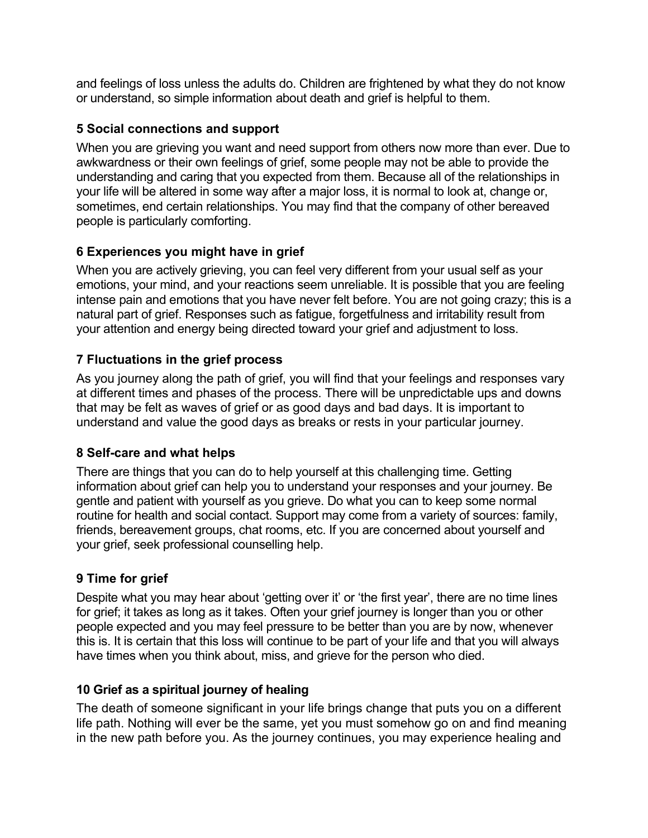and feelings of loss unless the adults do. Children are frightened by what they do not know or understand, so simple information about death and grief is helpful to them.

## **5 Social connections and support**

When you are grieving you want and need support from others now more than ever. Due to awkwardness or their own feelings of grief, some people may not be able to provide the understanding and caring that you expected from them. Because all of the relationships in your life will be altered in some way after a major loss, it is normal to look at, change or, sometimes, end certain relationships. You may find that the company of other bereaved people is particularly comforting.

## **6 Experiences you might have in grief**

When you are actively grieving, you can feel very different from your usual self as your emotions, your mind, and your reactions seem unreliable. It is possible that you are feeling intense pain and emotions that you have never felt before. You are not going crazy; this is a natural part of grief. Responses such as fatigue, forgetfulness and irritability result from your attention and energy being directed toward your grief and adjustment to loss.

# **7 Fluctuations in the grief process**

As you journey along the path of grief, you will find that your feelings and responses vary at different times and phases of the process. There will be unpredictable ups and downs that may be felt as waves of grief or as good days and bad days. It is important to understand and value the good days as breaks or rests in your particular journey.

## **8 Self-care and what helps**

There are things that you can do to help yourself at this challenging time. Getting information about grief can help you to understand your responses and your journey. Be gentle and patient with yourself as you grieve. Do what you can to keep some normal routine for health and social contact. Support may come from a variety of sources: family, friends, bereavement groups, chat rooms, etc. If you are concerned about yourself and your grief, seek professional counselling help.

# **9 Time for grief**

Despite what you may hear about 'getting over it' or 'the first year', there are no time lines for grief; it takes as long as it takes. Often your grief journey is longer than you or other people expected and you may feel pressure to be better than you are by now, whenever this is. It is certain that this loss will continue to be part of your life and that you will always have times when you think about, miss, and grieve for the person who died.

## **10 Grief as a spiritual journey of healing**

The death of someone significant in your life brings change that puts you on a different life path. Nothing will ever be the same, yet you must somehow go on and find meaning in the new path before you. As the journey continues, you may experience healing and